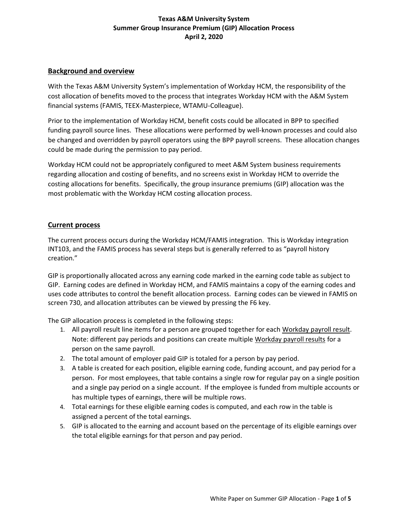## **Background and overview**

With the Texas A&M University System's implementation of Workday HCM, the responsibility of the cost allocation of benefits moved to the process that integrates Workday HCM with the A&M System financial systems (FAMIS, TEEX-Masterpiece, WTAMU-Colleague).

Prior to the implementation of Workday HCM, benefit costs could be allocated in BPP to specified funding payroll source lines. These allocations were performed by well-known processes and could also be changed and overridden by payroll operators using the BPP payroll screens. These allocation changes could be made during the permission to pay period.

Workday HCM could not be appropriately configured to meet A&M System business requirements regarding allocation and costing of benefits, and no screens exist in Workday HCM to override the costing allocations for benefits. Specifically, the group insurance premiums (GIP) allocation was the most problematic with the Workday HCM costing allocation process.

#### **Current process**

The current process occurs during the Workday HCM/FAMIS integration. This is Workday integration INT103, and the FAMIS process has several steps but is generally referred to as "payroll history creation."

GIP is proportionally allocated across any earning code marked in the earning code table as subject to GIP. Earning codes are defined in Workday HCM, and FAMIS maintains a copy of the earning codes and uses code attributes to control the benefit allocation process. Earning codes can be viewed in FAMIS on screen 730, and allocation attributes can be viewed by pressing the F6 key.

The GIP allocation process is completed in the following steps:

- 1. All payroll result line items for a person are grouped together for each Workday payroll result. Note: different pay periods and positions can create multiple Workday payroll results for a person on the same payroll.
- 2. The total amount of employer paid GIP is totaled for a person by pay period.
- 3. A table is created for each position, eligible earning code, funding account, and pay period for a person. For most employees, that table contains a single row for regular pay on a single position and a single pay period on a single account. If the employee is funded from multiple accounts or has multiple types of earnings, there will be multiple rows.
- 4. Total earnings for these eligible earning codes is computed, and each row in the table is assigned a percent of the total earnings.
- 5. GIP is allocated to the earning and account based on the percentage of its eligible earnings over the total eligible earnings for that person and pay period.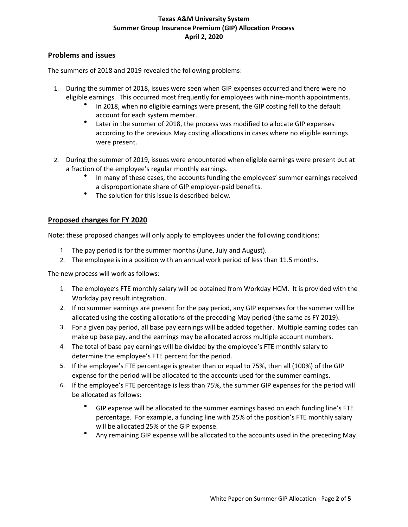#### **Problems and issues**

The summers of 2018 and 2019 revealed the following problems:

- 1. During the summer of 2018, issues were seen when GIP expenses occurred and there were no eligible earnings. This occurred most frequently for employees with nine-month appointments.
	- In 2018, when no eligible earnings were present, the GIP costing fell to the default account for each system member.
	- Later in the summer of 2018, the process was modified to allocate GIP expenses according to the previous May costing allocations in cases where no eligible earnings were present.
- 2. During the summer of 2019, issues were encountered when eligible earnings were present but at a fraction of the employee's regular monthly earnings.
	- In many of these cases, the accounts funding the employees' summer earnings received a disproportionate share of GIP employer-paid benefits.
	- The solution for this issue is described below.

## **Proposed changes for FY 2020**

Note: these proposed changes will only apply to employees under the following conditions:

- 1. The pay period is for the summer months (June, July and August).
- 2. The employee is in a position with an annual work period of less than 11.5 months.

The new process will work as follows:

- 1. The employee's FTE monthly salary will be obtained from Workday HCM. It is provided with the Workday pay result integration.
- 2. If no summer earnings are present for the pay period, any GIP expenses for the summer will be allocated using the costing allocations of the preceding May period (the same as FY 2019).
- 3. For a given pay period, all base pay earnings will be added together. Multiple earning codes can make up base pay, and the earnings may be allocated across multiple account numbers.
- 4. The total of base pay earnings will be divided by the employee's FTE monthly salary to determine the employee's FTE percent for the period.
- 5. If the employee's FTE percentage is greater than or equal to 75%, then all (100%) of the GIP expense for the period will be allocated to the accounts used for the summer earnings.
- 6. If the employee's FTE percentage is less than 75%, the summer GIP expenses for the period will be allocated as follows:
	- GIP expense will be allocated to the summer earnings based on each funding line's FTE percentage. For example, a funding line with 25% of the position's FTE monthly salary will be allocated 25% of the GIP expense.
	- Any remaining GIP expense will be allocated to the accounts used in the preceding May.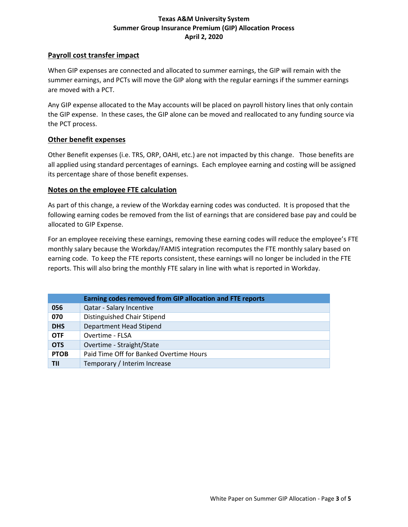#### **Payroll cost transfer impact**

When GIP expenses are connected and allocated to summer earnings, the GIP will remain with the summer earnings, and PCTs will move the GIP along with the regular earnings if the summer earnings are moved with a PCT.

Any GIP expense allocated to the May accounts will be placed on payroll history lines that only contain the GIP expense. In these cases, the GIP alone can be moved and reallocated to any funding source via the PCT process.

#### **Other benefit expenses**

Other Benefit expenses (i.e. TRS, ORP, OAHI, etc.) are not impacted by this change. Those benefits are all applied using standard percentages of earnings. Each employee earning and costing will be assigned its percentage share of those benefit expenses.

#### **Notes on the employee FTE calculation**

As part of this change, a review of the Workday earning codes was conducted. It is proposed that the following earning codes be removed from the list of earnings that are considered base pay and could be allocated to GIP Expense.

For an employee receiving these earnings, removing these earning codes will reduce the employee's FTE monthly salary because the Workday/FAMIS integration recomputes the FTE monthly salary based on earning code. To keep the FTE reports consistent, these earnings will no longer be included in the FTE reports. This will also bring the monthly FTE salary in line with what is reported in Workday.

| Earning codes removed from GIP allocation and FTE reports |                                         |
|-----------------------------------------------------------|-----------------------------------------|
| 056                                                       | Qatar - Salary Incentive                |
| 070                                                       | Distinguished Chair Stipend             |
| <b>DHS</b>                                                | Department Head Stipend                 |
| <b>OTF</b>                                                | Overtime - FLSA                         |
| <b>OTS</b>                                                | Overtime - Straight/State               |
| <b>PTOB</b>                                               | Paid Time Off for Banked Overtime Hours |
| TII                                                       | Temporary / Interim Increase            |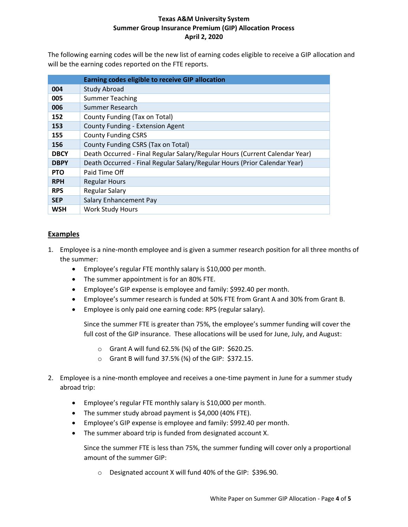The following earning codes will be the new list of earning codes eligible to receive a GIP allocation and will be the earning codes reported on the FTE reports.

|             | Earning codes eligible to receive GIP allocation                            |
|-------------|-----------------------------------------------------------------------------|
| 004         | <b>Study Abroad</b>                                                         |
| 005         | <b>Summer Teaching</b>                                                      |
| 006         | Summer Research                                                             |
| 152         | County Funding (Tax on Total)                                               |
| 153         | County Funding - Extension Agent                                            |
| 155         | <b>County Funding CSRS</b>                                                  |
| 156         | County Funding CSRS (Tax on Total)                                          |
| <b>DBCY</b> | Death Occurred - Final Regular Salary/Regular Hours (Current Calendar Year) |
| <b>DBPY</b> | Death Occurred - Final Regular Salary/Regular Hours (Prior Calendar Year)   |
| <b>PTO</b>  | Paid Time Off                                                               |
| <b>RPH</b>  | <b>Regular Hours</b>                                                        |
| <b>RPS</b>  | <b>Regular Salary</b>                                                       |
| <b>SEP</b>  | Salary Enhancement Pay                                                      |
| <b>WSH</b>  | <b>Work Study Hours</b>                                                     |

# **Examples**

- 1. Employee is a nine-month employee and is given a summer research position for all three months of the summer:
	- Employee's regular FTE monthly salary is \$10,000 per month.
	- The summer appointment is for an 80% FTE.
	- Employee's GIP expense is employee and family: \$992.40 per month.
	- Employee's summer research is funded at 50% FTE from Grant A and 30% from Grant B.
	- Employee is only paid one earning code: RPS (regular salary).

Since the summer FTE is greater than 75%, the employee's summer funding will cover the full cost of the GIP insurance. These allocations will be used for June, July, and August:

- $\circ$  Grant A will fund 62.5% (%) of the GIP: \$620.25.
- o Grant B will fund 37.5% (⅜) of the GIP: \$372.15.
- 2. Employee is a nine-month employee and receives a one-time payment in June for a summer study abroad trip:
	- Employee's regular FTE monthly salary is \$10,000 per month.
	- The summer study abroad payment is \$4,000 (40% FTE).
	- Employee's GIP expense is employee and family: \$992.40 per month.
	- The summer aboard trip is funded from designated account X.

Since the summer FTE is less than 75%, the summer funding will cover only a proportional amount of the summer GIP:

o Designated account X will fund 40% of the GIP: \$396.90.